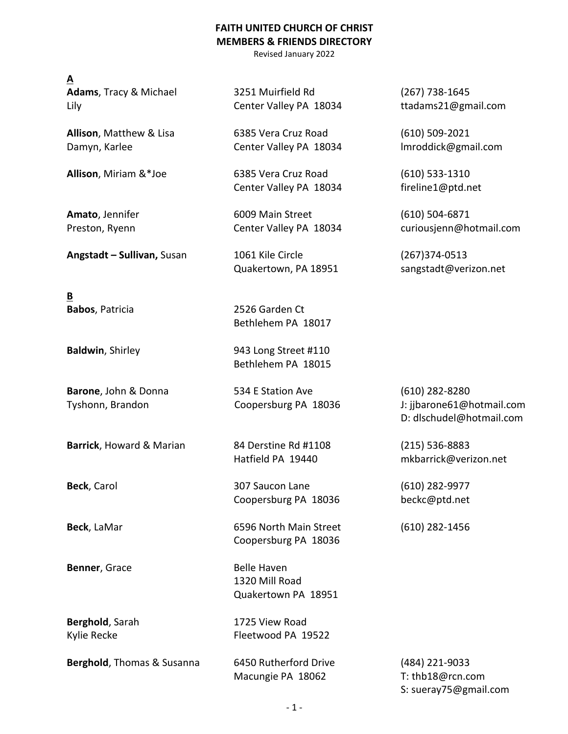## **FAITH UNITED CHURCH OF CHRIST MEMBERS & FRIENDS DIRECTORY**

Revised January 2022

## **A**

**Angstadt – Sullivan,** Susan 1061 Kile Circle (267)374-0513

**B**

**Barrick**, Howard & Marian 84 Derstine Rd #1108 (215) 536-8883

**Benner**, Grace Belle Haven

**Adams**, Tracy & Michael 3251 Muirfield Rd (267) 738-1645 Lily Center Valley PA 18034 ttadams21@gmail.com

**Allison**, Matthew & Lisa 6385 Vera Cruz Road (610) 509-2021 Damyn, Karlee **Center Valley PA 18034** Imroddick@gmail.com

**Allison**, Miriam &\*Joe 6385 Vera Cruz Road (610) 533-1310 Center Valley PA 18034 fireline1@ptd.net

**Amato**, Jennifer 6009 Main Street (610) 504-6871

Quakertown, PA 18951 sangstadt@verizon.net

**Babos**, Patricia 2526 Garden Ct Bethlehem PA 18017

**Baldwin**, Shirley 843 Long Street #110 Bethlehem PA 18015

**Barone**, John & Donna 534 E Station Ave (610) 282-8280

**Beck**, Carol 307 Saucon Lane (610) 282-9977 Coopersburg PA 18036 beckc@ptd.net

**Beck**, LaMar **6596 North Main Street** (610) 282-1456 Coopersburg PA 18036

> 1320 Mill Road Quakertown PA 18951

**Berghold**, Sarah 1725 View Road Kylie Recke Fleetwood PA 19522

**Berghold**, Thomas & Susanna 6450 Rutherford Drive (484) 221-9033 Macungie PA 18062 T: thb18@rcn.com

Preston, Ryenn Center Valley PA 18034 curiousjenn@hotmail.com

Tyshonn, Brandon Coopersburg PA 18036 J: jjbarone61@hotmail.com D: dlschudel@hotmail.com

Hatfield PA 19440 mkbarrick@verizon.net

S: sueray75@gmail.com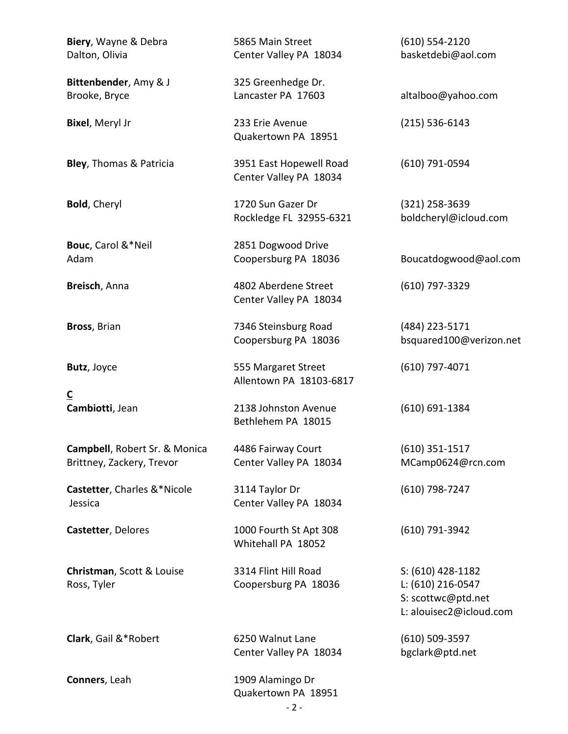| Biery, Wayne & Debra<br>Dalton, Olivia                     | 5865 Main Street<br>Center Valley PA 18034        | $(610) 554 - 2120$<br>basketdebi@aol.com                                                |
|------------------------------------------------------------|---------------------------------------------------|-----------------------------------------------------------------------------------------|
| Bittenbender, Amy & J<br>Brooke, Bryce                     | 325 Greenhedge Dr.<br>Lancaster PA 17603          | altalboo@yahoo.com                                                                      |
| <b>Bixel, Meryl Jr</b>                                     | 233 Erie Avenue<br>Quakertown PA 18951            | $(215) 536 - 6143$                                                                      |
| Bley, Thomas & Patricia                                    | 3951 East Hopewell Road<br>Center Valley PA 18034 | (610) 791-0594                                                                          |
| <b>Bold, Cheryl</b>                                        | 1720 Sun Gazer Dr<br>Rockledge FL 32955-6321      | $(321)$ 258-3639<br>boldcheryl@icloud.com                                               |
| Bouc, Carol &*Neil<br>Adam                                 | 2851 Dogwood Drive<br>Coopersburg PA 18036        | Boucatdogwood@aol.com                                                                   |
| Breisch, Anna                                              | 4802 Aberdene Street<br>Center Valley PA 18034    | (610) 797-3329                                                                          |
| Bross, Brian                                               | 7346 Steinsburg Road<br>Coopersburg PA 18036      | (484) 223-5171<br>bsquared100@verizon.net                                               |
| Butz, Joyce                                                | 555 Margaret Street<br>Allentown PA 18103-6817    | $(610)$ 797-4071                                                                        |
| $\underline{\mathsf{C}}$<br>Cambiotti, Jean                | 2138 Johnston Avenue<br>Bethlehem PA 18015        | $(610) 691 - 1384$                                                                      |
| Campbell, Robert Sr. & Monica<br>Brittney, Zackery, Trevor | 4486 Fairway Court<br>Center Valley PA 18034      | $(610)$ 351-1517<br>MCamp0624@rcn.com                                                   |
| Castetter, Charles &*Nicole<br>Jessica                     | 3114 Taylor Dr<br>Center Valley PA 18034          | (610) 798-7247                                                                          |
| Castetter, Delores                                         | 1000 Fourth St Apt 308<br>Whitehall PA 18052      | (610) 791-3942                                                                          |
| Christman, Scott & Louise<br>Ross, Tyler                   | 3314 Flint Hill Road<br>Coopersburg PA 18036      | S: (610) 428-1182<br>L: (610) 216-0547<br>S: scottwc@ptd.net<br>L: alouisec2@icloud.com |
| Clark, Gail &*Robert                                       | 6250 Walnut Lane<br>Center Valley PA 18034        | $(610)$ 509-3597<br>bgclark@ptd.net                                                     |
| Conners, Leah                                              | 1909 Alamingo Dr<br>Quakertown PA 18951           |                                                                                         |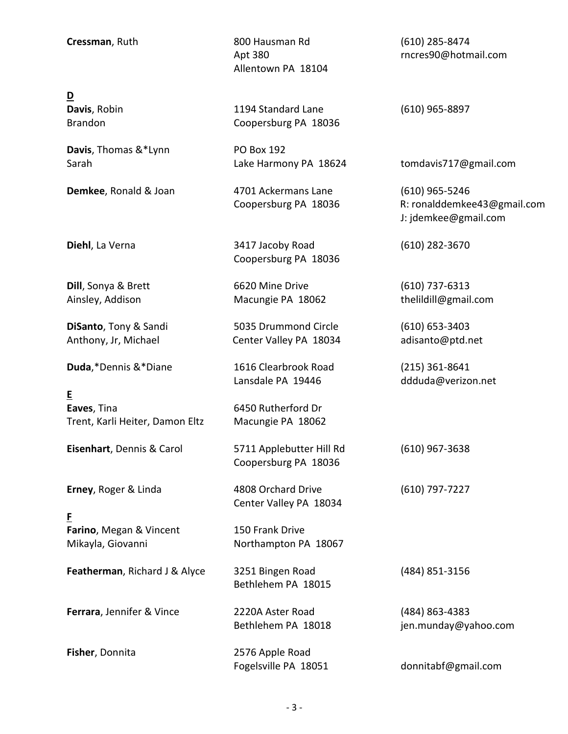**Cressman**, Ruth 800 Hausman Rd (610) 285-8474 Allentown PA 18104

**D**

**Davis**, Thomas &\*Lynn PO Box 192

**Duda**,\*Dennis &\*Diane 1616 Clearbrook Road (215) 361-8641

**E Eaves**, Tina **Eaves**, Tina Trent, Karli Heiter, Damon Eltz Macungie PA 18062

**Eisenhart**, Dennis & Carol 5711 Applebutter Hill Rd (610) 967-3638

**F Farino**, Megan & Vincent 150 Frank Drive Mikayla, Giovanni Northampton PA 18067

**Featherman**, Richard J & Alyce 3251 Bingen Road (484) 851-3156

**Davis**, Robin 1194 Standard Lane (610) 965-8897 Brandon Coopersburg PA 18036

**Demkee**, Ronald & Joan **1701 Ackermans Lane** (610) 965-5246

**Diehl**, La Verna 3417 Jacoby Road (610) 282-3670 Coopersburg PA 18036

**Dill**, Sonya & Brett 6620 Mine Drive (610) 737-6313 Ainsley, Addison **Macungie PA 18062** the ildill@gmail.com

**DiSanto**, Tony & Sandi 5035 Drummond Circle (610) 653-3403 Anthony, Jr, Michael **Center Valley PA 18034** adisanto@ptd.net

Lansdale PA 19446 ddduda@verizon.net

Coopersburg PA 18036

**Erney**, Roger & Linda 4808 Orchard Drive (610) 797-7227 Center Valley PA 18034

Bethlehem PA 18015

**Ferrara**, Jennifer & Vince 2220A Aster Road (484) 863-4383

**Fisher**, Donnita 2576 Apple Road

Apt 380 rncres90@hotmail.com

Sarah **Lake Harmony PA 18624** tomdavis717@gmail.com

 Coopersburg PA 18036 R: ronalddemkee43@gmail.com J: jdemkee@gmail.com

Bethlehem PA 18018 jen.munday@yahoo.com

Fogelsville PA 18051 donnitabf@gmail.com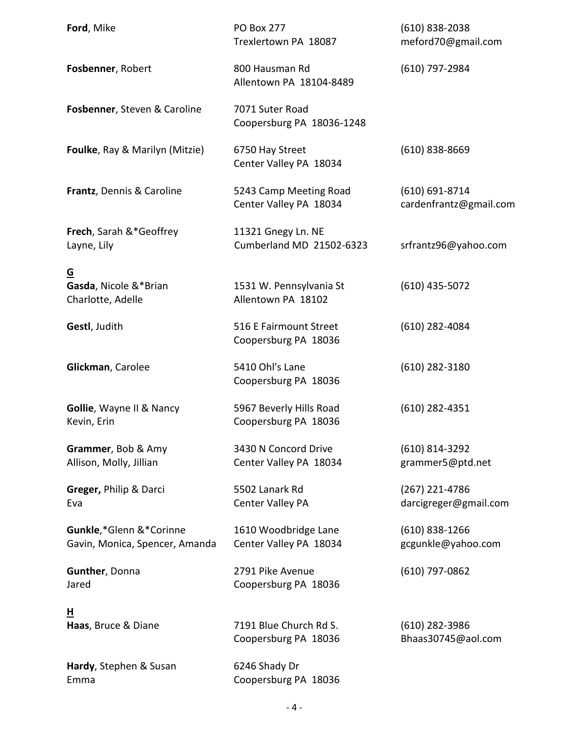| Ford, Mike                                                | <b>PO Box 277</b><br>Trexlertown PA 18087        | $(610)$ 838-2038<br>meford70@gmail.com       |
|-----------------------------------------------------------|--------------------------------------------------|----------------------------------------------|
| Fosbenner, Robert                                         | 800 Hausman Rd<br>Allentown PA 18104-8489        | (610) 797-2984                               |
| Fosbenner, Steven & Caroline                              | 7071 Suter Road<br>Coopersburg PA 18036-1248     |                                              |
| Foulke, Ray & Marilyn (Mitzie)                            | 6750 Hay Street<br>Center Valley PA 18034        | $(610)$ 838-8669                             |
| Frantz, Dennis & Caroline                                 | 5243 Camp Meeting Road<br>Center Valley PA 18034 | $(610) 691 - 8714$<br>cardenfrantz@gmail.com |
| <b>Frech, Sarah &amp;*Geoffrey</b><br>Layne, Lily         | 11321 Gnegy Ln. NE<br>Cumberland MD 21502-6323   | srfrantz96@yahoo.com                         |
| <u>G</u><br>Gasda, Nicole &*Brian<br>Charlotte, Adelle    | 1531 W. Pennsylvania St<br>Allentown PA 18102    | $(610)$ 435-5072                             |
| Gestl, Judith                                             | 516 E Fairmount Street<br>Coopersburg PA 18036   | (610) 282-4084                               |
| Glickman, Carolee                                         | 5410 Ohl's Lane<br>Coopersburg PA 18036          | $(610)$ 282-3180                             |
| Gollie, Wayne II & Nancy<br>Kevin, Erin                   | 5967 Beverly Hills Road<br>Coopersburg PA 18036  | $(610)$ 282-4351                             |
| Grammer, Bob & Amy<br>Allison, Molly, Jillian             | 3430 N Concord Drive<br>Center Valley PA 18034   | $(610)$ 814-3292<br>grammer5@ptd.net         |
| Greger, Philip & Darci<br>Eva                             | 5502 Lanark Rd<br><b>Center Valley PA</b>        | (267) 221-4786<br>darcigreger@gmail.com      |
| Gunkle,*Glenn &*Corinne<br>Gavin, Monica, Spencer, Amanda | 1610 Woodbridge Lane<br>Center Valley PA 18034   | $(610)$ 838-1266<br>gcgunkle@yahoo.com       |
| Gunther, Donna<br>Jared                                   | 2791 Pike Avenue<br>Coopersburg PA 18036         | $(610)$ 797-0862                             |
| 브<br>Haas, Bruce & Diane                                  | 7191 Blue Church Rd S.<br>Coopersburg PA 18036   | $(610)$ 282-3986<br>Bhaas30745@aol.com       |
| Hardy, Stephen & Susan<br>Emma                            | 6246 Shady Dr<br>Coopersburg PA 18036            |                                              |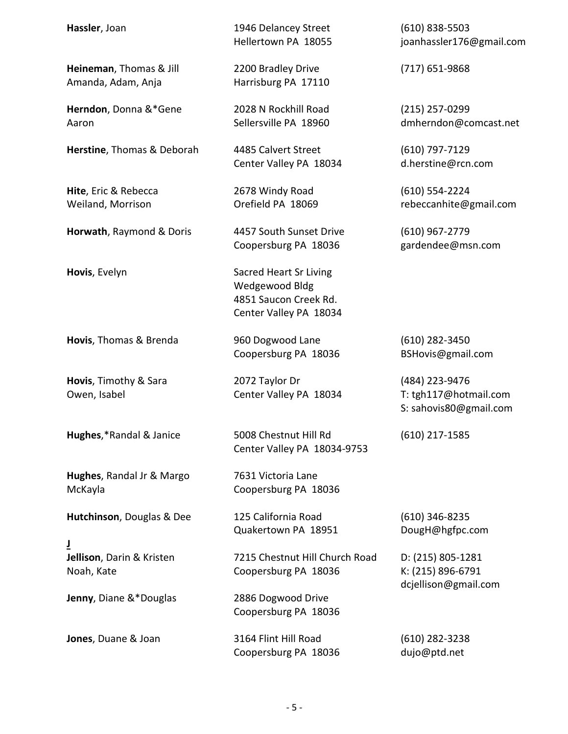| Hassler, Joan                                 | 1946 Delancey Street<br>Hellertown PA 18055                                                        | $(610)$ 838-5503<br>joanhassler176@gmail.com                      |
|-----------------------------------------------|----------------------------------------------------------------------------------------------------|-------------------------------------------------------------------|
| Heineman, Thomas & Jill<br>Amanda, Adam, Anja | 2200 Bradley Drive<br>Harrisburg PA 17110                                                          | $(717)$ 651-9868                                                  |
| Herndon, Donna &*Gene<br>Aaron                | 2028 N Rockhill Road<br>Sellersville PA 18960                                                      | $(215)$ 257-0299<br>dmherndon@comcast.net                         |
| Herstine, Thomas & Deborah                    | 4485 Calvert Street<br>Center Valley PA 18034                                                      | $(610)$ 797-7129<br>d.herstine@rcn.com                            |
| Hite, Eric & Rebecca<br>Weiland, Morrison     | 2678 Windy Road<br>Orefield PA 18069                                                               | $(610)$ 554-2224<br>rebeccanhite@gmail.com                        |
| Horwath, Raymond & Doris                      | 4457 South Sunset Drive<br>Coopersburg PA 18036                                                    | $(610)$ 967-2779<br>gardendee@msn.com                             |
| Hovis, Evelyn                                 | <b>Sacred Heart Sr Living</b><br>Wedgewood Bldg<br>4851 Saucon Creek Rd.<br>Center Valley PA 18034 |                                                                   |
| Hovis, Thomas & Brenda                        | 960 Dogwood Lane<br>Coopersburg PA 18036                                                           | $(610)$ 282-3450<br>BSHovis@gmail.com                             |
| Hovis, Timothy & Sara<br>Owen, Isabel         | 2072 Taylor Dr<br>Center Valley PA 18034                                                           | (484) 223-9476<br>T: tgh117@hotmail.com<br>S: sahovis80@gmail.com |
| Hughes,*Randal & Janice                       | 5008 Chestnut Hill Rd<br>Center Valley PA 18034-9753                                               | $(610)$ 217-1585                                                  |
| Hughes, Randal Jr & Margo<br>McKayla          | 7631 Victoria Lane<br>Coopersburg PA 18036                                                         |                                                                   |
| Hutchinson, Douglas & Dee                     | 125 California Road<br>Quakertown PA 18951                                                         | $(610)$ 346-8235<br>DougH@hgfpc.com                               |
| ī<br>Jellison, Darin & Kristen<br>Noah, Kate  | 7215 Chestnut Hill Church Road<br>Coopersburg PA 18036                                             | D: (215) 805-1281<br>K: (215) 896-6791<br>dcjellison@gmail.com    |
| Jenny, Diane &*Douglas                        | 2886 Dogwood Drive<br>Coopersburg PA 18036                                                         |                                                                   |
| Jones, Duane & Joan                           | 3164 Flint Hill Road<br>Coopersburg PA 18036                                                       | $(610)$ 282-3238<br>dujo@ptd.net                                  |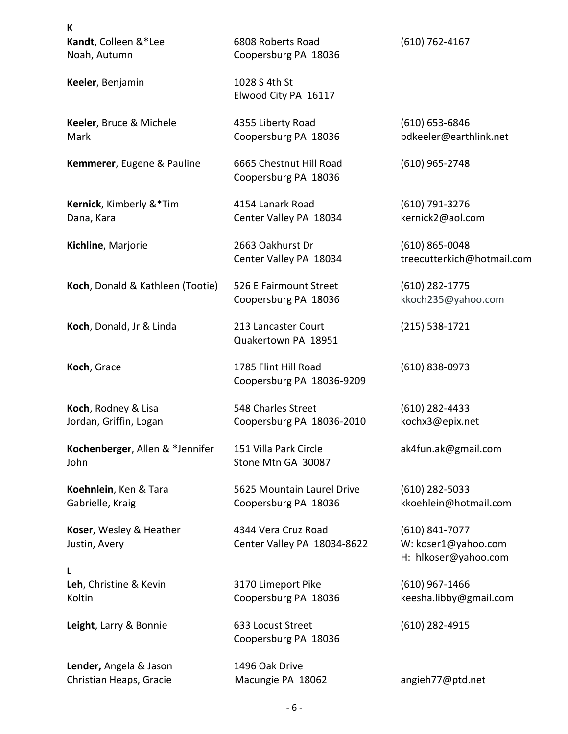| <u>к</u>                                          |                                                    |                                                                   |
|---------------------------------------------------|----------------------------------------------------|-------------------------------------------------------------------|
| Kandt, Colleen &*Lee<br>Noah, Autumn              | 6808 Roberts Road<br>Coopersburg PA 18036          | $(610)$ 762-4167                                                  |
| Keeler, Benjamin                                  | 1028 S 4th St<br>Elwood City PA 16117              |                                                                   |
| Keeler, Bruce & Michele<br>Mark                   | 4355 Liberty Road<br>Coopersburg PA 18036          | $(610) 653 - 6846$<br>bdkeeler@earthlink.net                      |
| Kemmerer, Eugene & Pauline                        | 6665 Chestnut Hill Road<br>Coopersburg PA 18036    | $(610)$ 965-2748                                                  |
| Kernick, Kimberly &*Tim<br>Dana, Kara             | 4154 Lanark Road<br>Center Valley PA 18034         | (610) 791-3276<br>kernick2@aol.com                                |
| Kichline, Marjorie                                | 2663 Oakhurst Dr<br>Center Valley PA 18034         | $(610)$ 865-0048<br>treecutterkich@hotmail.com                    |
| Koch, Donald & Kathleen (Tootie)                  | 526 E Fairmount Street<br>Coopersburg PA 18036     | $(610)$ 282-1775<br>kkoch235@yahoo.com                            |
| Koch, Donald, Jr & Linda                          | 213 Lancaster Court<br>Quakertown PA 18951         | $(215)$ 538-1721                                                  |
| Koch, Grace                                       | 1785 Flint Hill Road<br>Coopersburg PA 18036-9209  | (610) 838-0973                                                    |
| Koch, Rodney & Lisa<br>Jordan, Griffin, Logan     | 548 Charles Street<br>Coopersburg PA 18036-2010    | $(610)$ 282-4433<br>kochx3@epix.net                               |
| Kochenberger, Allen & *Jennifer<br>John           | 151 Villa Park Circle<br>Stone Mtn GA 30087        | ak4fun.ak@gmail.com                                               |
| Koehnlein, Ken & Tara<br>Gabrielle, Kraig         | 5625 Mountain Laurel Drive<br>Coopersburg PA 18036 | $(610)$ 282-5033<br>kkoehlein@hotmail.com                         |
| Koser, Wesley & Heather<br>Justin, Avery          | 4344 Vera Cruz Road<br>Center Valley PA 18034-8622 | $(610) 841 - 7077$<br>W: koser1@yahoo.com<br>H: hlkoser@yahoo.com |
| ╘<br>Leh, Christine & Kevin<br>Koltin             | 3170 Limeport Pike<br>Coopersburg PA 18036         | $(610)$ 967-1466<br>keesha.libby@gmail.com                        |
| Leight, Larry & Bonnie                            | 633 Locust Street<br>Coopersburg PA 18036          | $(610)$ 282-4915                                                  |
| Lender, Angela & Jason<br>Christian Heaps, Gracie | 1496 Oak Drive<br>Macungie PA 18062                | angieh77@ptd.net                                                  |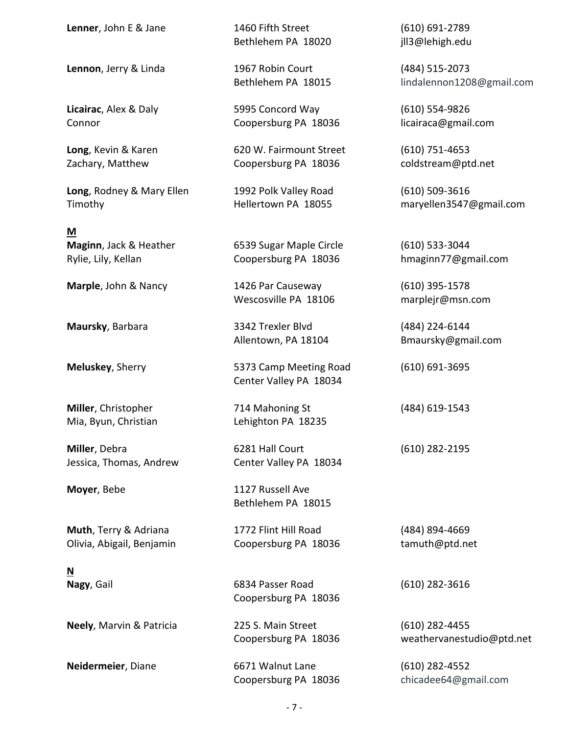**Lenner**, John E & Jane 1460 Fifth Street (610) 691-2789

**Lennon**, Jerry & Linda 1967 Robin Court (484) 515-2073

**Long**, Rodney & Mary Ellen 1992 Polk Valley Road (610) 509-3616

**M**

Jessica, Thomas, Andrew Center Valley PA 18034

**Muth**, Terry & Adriana 1772 Flint Hill Road (484) 894-4669 Olivia, Abigail, Benjamin Coopersburg PA 18036 tamuth@ptd.net

**N**

Bethlehem PA 18020 jll3@lehigh.edu

**Licairac**, Alex & Daly 5995 Concord Way (610) 554-9826 Connor Coopersburg PA 18036 licairaca@gmail.com

**Long**, Kevin & Karen 620 W. Fairmount Street (610) 751-4653 Zachary, Matthew **Coopersburg PA 18036** coldstream@ptd.net

**Maginn**, Jack & Heather 6539 Sugar Maple Circle (610) 533-3044 Rylie, Lily, Kellan **Coopersburg PA 18036** hmaginn77@gmail.com

**Marple**, John & Nancy 1426 Par Causeway (610) 395-1578 Wescosville PA 18106 marplejr@msn.com

**Maursky**, Barbara 3342 Trexler Blvd (484) 224-6144

**Meluskey**, Sherry **5373 Camp Meeting Road** (610) 691-3695 Center Valley PA 18034

**Miller**, Christopher 714 Mahoning St (484) 619-1543 Mia, Byun, Christian Lehighton PA 18235

**Miller**, Debra **6281 Hall Court** (610) 282-2195

**Moyer**, Bebe 1127 Russell Ave Bethlehem PA 18015

**Nagy**, Gail 6834 Passer Road (610) 282-3616 Coopersburg PA 18036

**Neely**, Marvin & Patricia 225 S. Main Street (610) 282-4455

**Neidermeier**, Diane 6671 Walnut Lane (610) 282-4552

Bethlehem PA 18015 lindalennon1208@gmail.com

Timothy Hellertown PA 18055 maryellen3547@gmail.com

Allentown, PA 18104 Bmaursky@gmail.com

Coopersburg PA 18036 weathervanestudio@ptd.net

Coopersburg PA 18036 chicadee64@gmail.com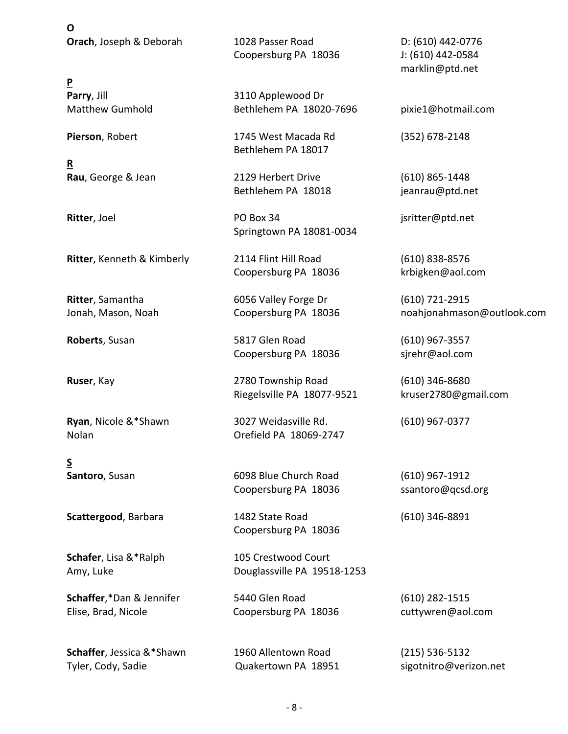**O Orach**, Joseph & Deborah 1028 Passer Road D: (610) 442-0776

**P**

**R**

**Ritter**, Kenneth & Kimberly 2114 Flint Hill Road (610) 838-8576

**S**

**Schafer**, Lisa &\*Ralph 105 Crestwood Court

**Schaffer**,\*Dan & Jennifer 5440 Glen Road (610) 282-1515 Elise, Brad, Nicole Coopersburg PA 18036 cuttywren@aol.com

**Schaffer**, Jessica &\*Shawn 1960 Allentown Road (215) 536-5132 Tyler, Cody, Sadie **Come Constanting Constructs** Quakertown PA 18951 sigotnitro@verizon.net

Coopersburg PA 18036 J: (610) 442-0584

**Parry**, Jill **Parry**, Jill **Parry**, Jill **Parry**, Jill **Parry**, Jill **Parry**, Jill **Parry** Matthew Gumhold Bethlehem PA 18020-7696 pixie1@hotmail.com

**Pierson**, Robert 1745 West Macada Rd (352) 678-2148 Bethlehem PA 18017

**Rau**, George & Jean 2129 Herbert Drive (610) 865-1448 Bethlehem PA 18018 jeanrau@ptd.net

**Ritter**, Joel **PO Box 34 PO Box 34** jsritter@ptd.net Springtown PA 18081-0034

Coopersburg PA 18036 krbigken@aol.com

**Ritter**, Samantha 6056 Valley Forge Dr (610) 721-2915

**Roberts**, Susan 5817 Glen Road (610) 967-3557 Coopersburg PA 18036 sjrehr@aol.com

**Ruser**, Kay 2780 Township Road (610) 346-8680 Riegelsville PA 18077-9521 kruser2780@gmail.com

**Ryan**, Nicole &\*Shawn 3027 Weidasville Rd. (610) 967-0377 Nolan Orefield PA 18069-2747

**Santoro**, Susan 6098 Blue Church Road (610) 967-1912 Coopersburg PA 18036 ssantoro@qcsd.org

**Scattergood**, Barbara 1482 State Road (610) 346-8891 Coopersburg PA 18036

Amy, Luke Douglassville PA 19518-1253

marklin@ptd.net

Jonah, Mason, Noah **Coopersburg PA 18036** noahjonahmason@outlook.com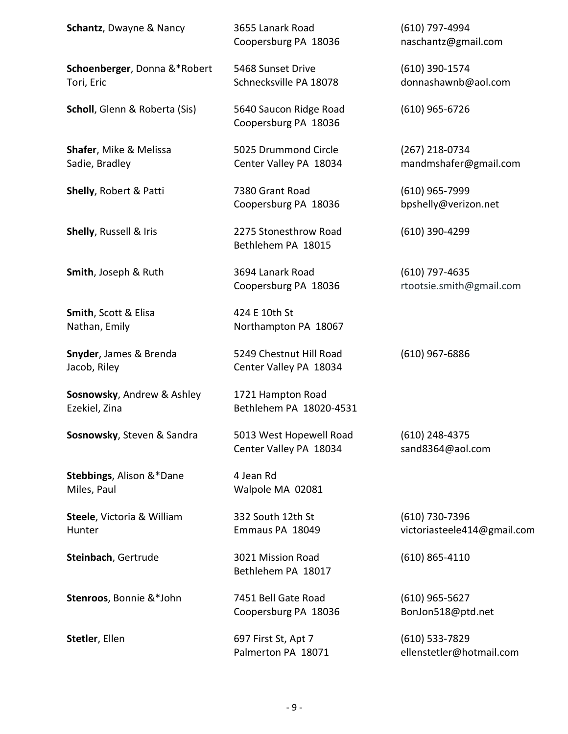| <b>Schantz, Dwayne &amp; Nancy</b>                  | 3655 Lanark Road<br>Coopersburg PA 18036          | (610) 797-4994<br>naschantz@gmail.com         |
|-----------------------------------------------------|---------------------------------------------------|-----------------------------------------------|
| Schoenberger, Donna &*Robert<br>Tori, Eric          | 5468 Sunset Drive<br>Schnecksville PA 18078       | (610) 390-1574<br>donnashawnb@aol.com         |
| Scholl, Glenn & Roberta (Sis)                       | 5640 Saucon Ridge Road<br>Coopersburg PA 18036    | $(610)$ 965-6726                              |
| <b>Shafer, Mike &amp; Melissa</b><br>Sadie, Bradley | 5025 Drummond Circle<br>Center Valley PA 18034    | $(267)$ 218-0734<br>mandmshafer@gmail.com     |
| Shelly, Robert & Patti                              | 7380 Grant Road<br>Coopersburg PA 18036           | $(610)$ 965-7999<br>bpshelly@verizon.net      |
| Shelly, Russell & Iris                              | 2275 Stonesthrow Road<br>Bethlehem PA 18015       | (610) 390-4299                                |
| Smith, Joseph & Ruth                                | 3694 Lanark Road<br>Coopersburg PA 18036          | $(610)$ 797-4635<br>rtootsie.smith@gmail.com  |
| Smith, Scott & Elisa<br>Nathan, Emily               | 424 E 10th St<br>Northampton PA 18067             |                                               |
| Snyder, James & Brenda<br>Jacob, Riley              | 5249 Chestnut Hill Road<br>Center Valley PA 18034 | $(610)$ 967-6886                              |
| Sosnowsky, Andrew & Ashley<br>Ezekiel, Zina         | 1721 Hampton Road<br>Bethlehem PA 18020-4531      |                                               |
| Sosnowsky, Steven & Sandra                          | 5013 West Hopewell Road<br>Center Valley PA 18034 | $(610)$ 248-4375<br>sand8364@aol.com          |
| Stebbings, Alison &*Dane<br>Miles, Paul             | 4 Jean Rd<br>Walpole MA 02081                     |                                               |
| Steele, Victoria & William<br>Hunter                | 332 South 12th St<br>Emmaus PA 18049              | (610) 730-7396<br>victoriasteele414@gmail.com |
| Steinbach, Gertrude                                 | 3021 Mission Road<br>Bethlehem PA 18017           | $(610)$ 865-4110                              |
| Stenroos, Bonnie &*John                             | 7451 Bell Gate Road<br>Coopersburg PA 18036       | $(610)$ 965-5627<br>BonJon518@ptd.net         |
| Stetler, Ellen                                      | 697 First St, Apt 7<br>Palmerton PA 18071         | $(610)$ 533-7829<br>ellenstetler@hotmail.com  |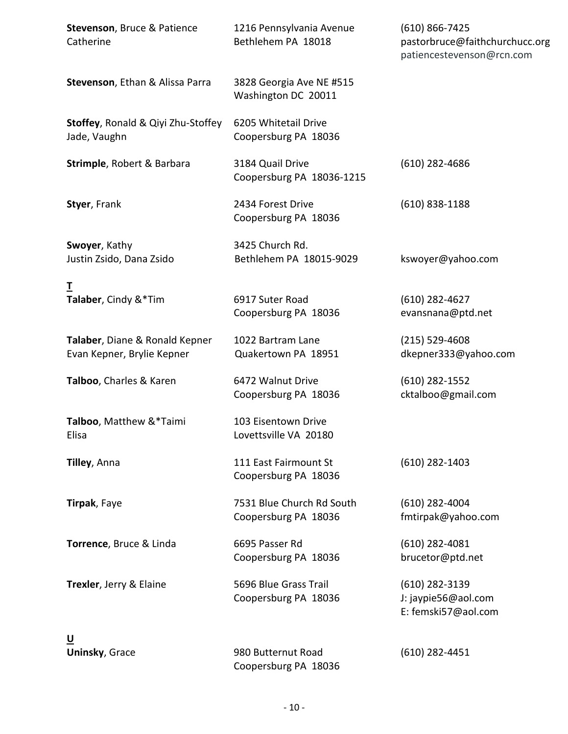| <b>Stevenson, Bruce &amp; Patience</b><br>Catherine          | 1216 Pennsylvania Avenue<br>Bethlehem PA 18018    | $(610) 866 - 7425$<br>pastorbruce@faithchurchucc.org<br>patiencestevenson@rcn.com |
|--------------------------------------------------------------|---------------------------------------------------|-----------------------------------------------------------------------------------|
| Stevenson, Ethan & Alissa Parra                              | 3828 Georgia Ave NE #515<br>Washington DC 20011   |                                                                                   |
| Stoffey, Ronald & Qiyi Zhu-Stoffey<br>Jade, Vaughn           | 6205 Whitetail Drive<br>Coopersburg PA 18036      |                                                                                   |
| Strimple, Robert & Barbara                                   | 3184 Quail Drive<br>Coopersburg PA 18036-1215     | $(610)$ 282-4686                                                                  |
| Styer, Frank                                                 | 2434 Forest Drive<br>Coopersburg PA 18036         | $(610)$ 838-1188                                                                  |
| Swoyer, Kathy<br>Justin Zsido, Dana Zsido                    | 3425 Church Rd.<br>Bethlehem PA 18015-9029        | kswoyer@yahoo.com                                                                 |
| I                                                            |                                                   |                                                                                   |
| Talaber, Cindy &*Tim                                         | 6917 Suter Road<br>Coopersburg PA 18036           | $(610)$ 282-4627<br>evansnana@ptd.net                                             |
| Talaber, Diane & Ronald Kepner<br>Evan Kepner, Brylie Kepner | 1022 Bartram Lane<br>Quakertown PA 18951          | $(215) 529 - 4608$<br>dkepner333@yahoo.com                                        |
| Talboo, Charles & Karen                                      | 6472 Walnut Drive<br>Coopersburg PA 18036         | $(610)$ 282-1552<br>cktalboo@gmail.com                                            |
| Talboo, Matthew &*Taimi<br>Elisa                             | 103 Eisentown Drive<br>Lovettsville VA 20180      |                                                                                   |
| Tilley, Anna                                                 | 111 East Fairmount St<br>Coopersburg PA 18036     | $(610)$ 282-1403                                                                  |
| Tirpak, Faye                                                 | 7531 Blue Church Rd South<br>Coopersburg PA 18036 | $(610)$ 282-4004<br>fmtirpak@yahoo.com                                            |
| Torrence, Bruce & Linda                                      | 6695 Passer Rd<br>Coopersburg PA 18036            | $(610)$ 282-4081<br>brucetor@ptd.net                                              |
| Trexler, Jerry & Elaine                                      | 5696 Blue Grass Trail<br>Coopersburg PA 18036     | $(610)$ 282-3139<br>J: jaypie56@aol.com<br>E: femski57@aol.com                    |
| <u>ប</u>                                                     |                                                   |                                                                                   |
| <b>Uninsky, Grace</b>                                        | 980 Butternut Road<br>Coopersburg PA 18036        | $(610)$ 282-4451                                                                  |